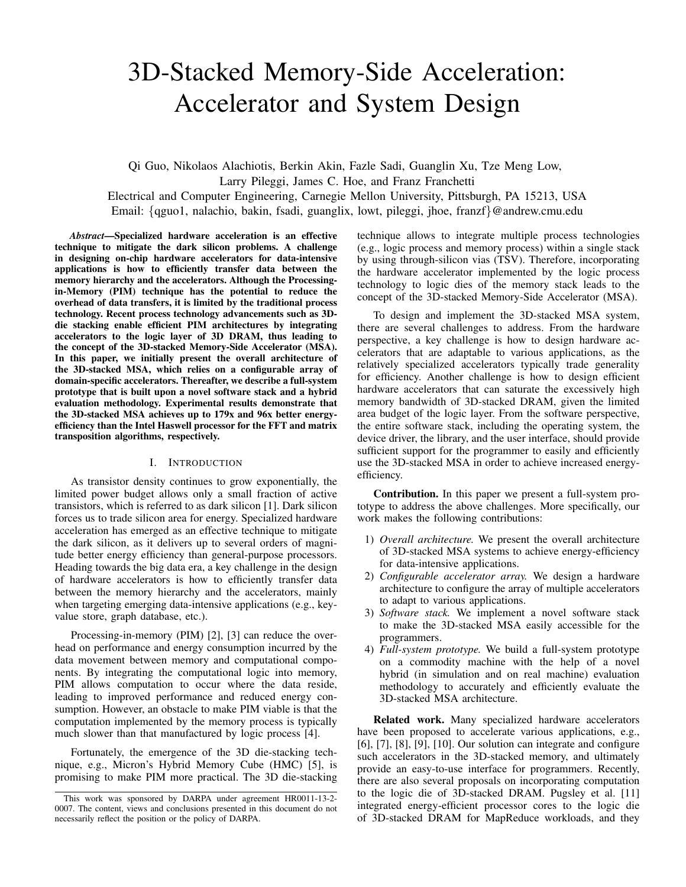# 3D-Stacked Memory-Side Acceleration: Accelerator and System Design

Qi Guo, Nikolaos Alachiotis, Berkin Akin, Fazle Sadi, Guanglin Xu, Tze Meng Low, Larry Pileggi, James C. Hoe, and Franz Franchetti Electrical and Computer Engineering, Carnegie Mellon University, Pittsburgh, PA 15213, USA Email: {qguo1, nalachio, bakin, fsadi, guanglix, lowt, pileggi, jhoe, franzf}@andrew.cmu.edu

*Abstract*—Specialized hardware acceleration is an effective technique to mitigate the dark silicon problems. A challenge in designing on-chip hardware accelerators for data-intensive applications is how to efficiently transfer data between the memory hierarchy and the accelerators. Although the Processingin-Memory (PIM) technique has the potential to reduce the overhead of data transfers, it is limited by the traditional process technology. Recent process technology advancements such as 3Ddie stacking enable efficient PIM architectures by integrating accelerators to the logic layer of 3D DRAM, thus leading to the concept of the 3D-stacked Memory-Side Accelerator (MSA). In this paper, we initially present the overall architecture of the 3D-stacked MSA, which relies on a configurable array of domain-specific accelerators. Thereafter, we describe a full-system prototype that is built upon a novel software stack and a hybrid evaluation methodology. Experimental results demonstrate that the 3D-stacked MSA achieves up to 179x and 96x better energyefficiency than the Intel Haswell processor for the FFT and matrix transposition algorithms, respectively.

## I. INTRODUCTION

As transistor density continues to grow exponentially, the limited power budget allows only a small fraction of active transistors, which is referred to as dark silicon [1]. Dark silicon forces us to trade silicon area for energy. Specialized hardware acceleration has emerged as an effective technique to mitigate the dark silicon, as it delivers up to several orders of magnitude better energy efficiency than general-purpose processors. Heading towards the big data era, a key challenge in the design of hardware accelerators is how to efficiently transfer data between the memory hierarchy and the accelerators, mainly when targeting emerging data-intensive applications (e.g., keyvalue store, graph database, etc.).

Processing-in-memory (PIM) [2], [3] can reduce the overhead on performance and energy consumption incurred by the data movement between memory and computational components. By integrating the computational logic into memory, PIM allows computation to occur where the data reside, leading to improved performance and reduced energy consumption. However, an obstacle to make PIM viable is that the computation implemented by the memory process is typically much slower than that manufactured by logic process [4].

Fortunately, the emergence of the 3D die-stacking technique, e.g., Micron's Hybrid Memory Cube (HMC) [5], is promising to make PIM more practical. The 3D die-stacking technique allows to integrate multiple process technologies (e.g., logic process and memory process) within a single stack by using through-silicon vias (TSV). Therefore, incorporating the hardware accelerator implemented by the logic process technology to logic dies of the memory stack leads to the concept of the 3D-stacked Memory-Side Accelerator (MSA).

To design and implement the 3D-stacked MSA system, there are several challenges to address. From the hardware perspective, a key challenge is how to design hardware accelerators that are adaptable to various applications, as the relatively specialized accelerators typically trade generality for efficiency. Another challenge is how to design efficient hardware accelerators that can saturate the excessively high memory bandwidth of 3D-stacked DRAM, given the limited area budget of the logic layer. From the software perspective, the entire software stack, including the operating system, the device driver, the library, and the user interface, should provide sufficient support for the programmer to easily and efficiently use the 3D-stacked MSA in order to achieve increased energyefficiency.

Contribution. In this paper we present a full-system prototype to address the above challenges. More specifically, our work makes the following contributions:

- 1) *Overall architecture.* We present the overall architecture of 3D-stacked MSA systems to achieve energy-efficiency for data-intensive applications.
- 2) *Configurable accelerator array.* We design a hardware architecture to configure the array of multiple accelerators to adapt to various applications.
- 3) *Software stack.* We implement a novel software stack to make the 3D-stacked MSA easily accessible for the programmers.
- 4) *Full-system prototype.* We build a full-system prototype on a commodity machine with the help of a novel hybrid (in simulation and on real machine) evaluation methodology to accurately and efficiently evaluate the 3D-stacked MSA architecture.

Related work. Many specialized hardware accelerators have been proposed to accelerate various applications, e.g., [6], [7], [8], [9], [10]. Our solution can integrate and configure such accelerators in the 3D-stacked memory, and ultimately provide an easy-to-use interface for programmers. Recently, there are also several proposals on incorporating computation to the logic die of 3D-stacked DRAM. Pugsley et al. [11] integrated energy-efficient processor cores to the logic die of 3D-stacked DRAM for MapReduce workloads, and they

This work was sponsored by DARPA under agreement HR0011-13-2- 0007. The content, views and conclusions presented in this document do not necessarily reflect the position or the policy of DARPA.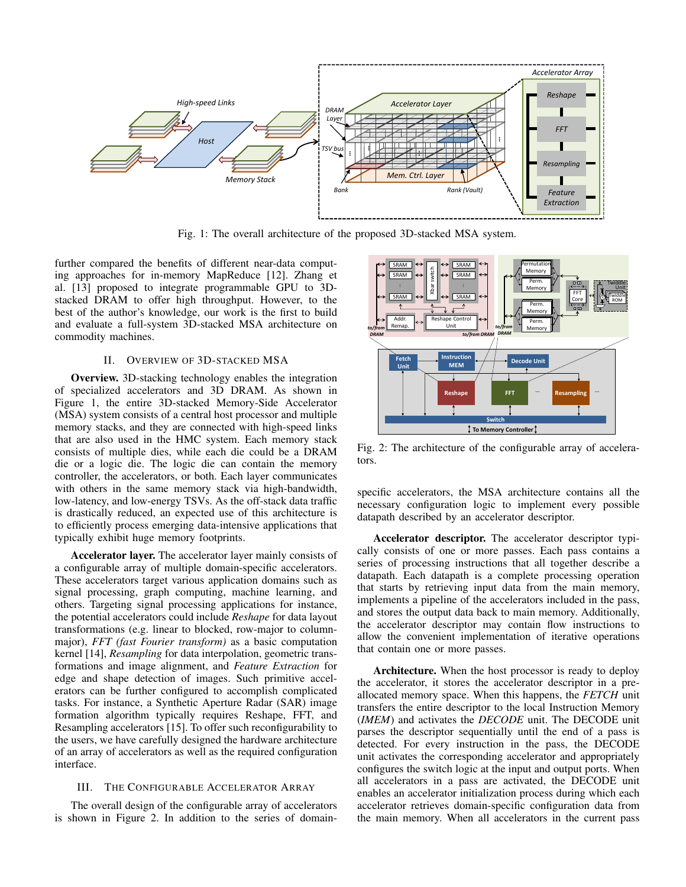

Fig. 1: The overall architecture of the proposed 3D-stacked MSA system.

further compared the benefits of different near-data computing approaches for in-memory MapReduce [12]. Zhang et al. [13] proposed to integrate programmable GPU to 3Dstacked DRAM to offer high throughput. However, to the best of the author's knowledge, our work is the first to build and evaluate a full-system 3D-stacked MSA architecture on commodity machines.

## II. OVERVIEW OF 3D-STACKED MSA

Overview. 3D-stacking technology enables the integration of specialized accelerators and 3D DRAM. As shown in Figure 1, the entire 3D-stacked Memory-Side Accelerator (MSA) system consists of a central host processor and multiple memory stacks, and they are connected with high-speed links that are also used in the HMC system. Each memory stack consists of multiple dies, while each die could be a DRAM die or a logic die. The logic die can contain the memory controller, the accelerators, or both. Each layer communicates with others in the same memory stack via high-bandwidth, low-latency, and low-energy TSVs. As the off-stack data traffic is drastically reduced, an expected use of this architecture is to efficiently process emerging data-intensive applications that typically exhibit huge memory footprints.

Accelerator layer. The accelerator layer mainly consists of a configurable array of multiple domain-specific accelerators. These accelerators target various application domains such as signal processing, graph computing, machine learning, and others. Targeting signal processing applications for instance, the potential accelerators could include *Reshape* for data layout transformations (e.g. linear to blocked, row-major to columnmajor), *FFT (fast Fourier transform)* as a basic computation kernel [14], *Resampling* for data interpolation, geometric transformations and image alignment, and *Feature Extraction* for edge and shape detection of images. Such primitive accelerators can be further configured to accomplish complicated tasks. For instance, a Synthetic Aperture Radar (SAR) image formation algorithm typically requires Reshape, FFT, and Resampling accelerators [15]. To offer such reconfigurability to the users, we have carefully designed the hardware architecture of an array of accelerators as well as the required configuration interface.

## III. THE CONFIGURABLE ACCELERATOR ARRAY

The overall design of the configurable array of accelerators is shown in Figure 2. In addition to the series of domain-



Fig. 2: The architecture of the configurable array of accelerators.

specific accelerators, the MSA architecture contains all the necessary configuration logic to implement every possible datapath described by an accelerator descriptor.

Accelerator descriptor. The accelerator descriptor typically consists of one or more passes. Each pass contains a series of processing instructions that all together describe a datapath. Each datapath is a complete processing operation that starts by retrieving input data from the main memory, implements a pipeline of the accelerators included in the pass, and stores the output data back to main memory. Additionally, the accelerator descriptor may contain flow instructions to allow the convenient implementation of iterative operations that contain one or more passes.

Architecture. When the host processor is ready to deploy the accelerator, it stores the accelerator descriptor in a preallocated memory space. When this happens, the *FETCH* unit transfers the entire descriptor to the local Instruction Memory (*IMEM*) and activates the *DECODE* unit. The DECODE unit parses the descriptor sequentially until the end of a pass is detected. For every instruction in the pass, the DECODE unit activates the corresponding accelerator and appropriately configures the switch logic at the input and output ports. When all accelerators in a pass are activated, the DECODE unit enables an accelerator initialization process during which each accelerator retrieves domain-specific configuration data from the main memory. When all accelerators in the current pass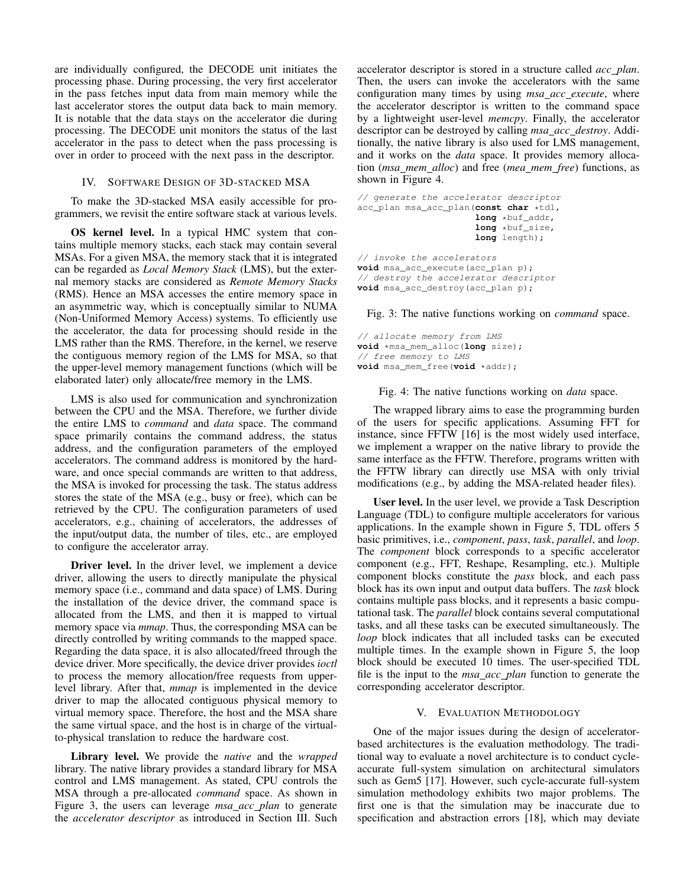are individually configured, the DECODE unit initiates the processing phase. During processing, the very first accelerator in the pass fetches input data from main memory while the last accelerator stores the output data back to main memory. It is notable that the data stays on the accelerator die during processing. The DECODE unit monitors the status of the last accelerator in the pass to detect when the pass processing is over in order to proceed with the next pass in the descriptor.

#### IV. SOFTWARE DESIGN OF 3D-STACKED MSA

To make the 3D-stacked MSA easily accessible for programmers, we revisit the entire software stack at various levels.

OS kernel level. In a typical HMC system that contains multiple memory stacks, each stack may contain several MSAs. For a given MSA, the memory stack that it is integrated can be regarded as *Local Memory Stack* (LMS), but the external memory stacks are considered as *Remote Memory Stacks* (RMS). Hence an MSA accesses the entire memory space in an asymmetric way, which is conceptually similar to NUMA (Non-Uniformed Memory Access) systems. To efficiently use the accelerator, the data for processing should reside in the LMS rather than the RMS. Therefore, in the kernel, we reserve the contiguous memory region of the LMS for MSA, so that the upper-level memory management functions (which will be elaborated later) only allocate/free memory in the LMS.

LMS is also used for communication and synchronization between the CPU and the MSA. Therefore, we further divide the entire LMS to *command* and *data* space. The command space primarily contains the command address, the status address, and the configuration parameters of the employed accelerators. The command address is monitored by the hardware, and once special commands are written to that address, the MSA is invoked for processing the task. The status address stores the state of the MSA (e.g., busy or free), which can be retrieved by the CPU. The configuration parameters of used accelerators, e.g., chaining of accelerators, the addresses of the input/output data, the number of tiles, etc., are employed to configure the accelerator array.

Driver level. In the driver level, we implement a device driver, allowing the users to directly manipulate the physical memory space (i.e., command and data space) of LMS. During the installation of the device driver, the command space is allocated from the LMS, and then it is mapped to virtual memory space via *mmap*. Thus, the corresponding MSA can be directly controlled by writing commands to the mapped space. Regarding the data space, it is also allocated/freed through the device driver. More specifically, the device driver provides *ioctl* to process the memory allocation/free requests from upperlevel library. After that, *mmap* is implemented in the device driver to map the allocated contiguous physical memory to virtual memory space. Therefore, the host and the MSA share the same virtual space, and the host is in charge of the virtualto-physical translation to reduce the hardware cost.

Library level. We provide the *native* and the *wrapped* library. The native library provides a standard library for MSA control and LMS management. As stated, CPU controls the MSA through a pre-allocated *command* space. As shown in Figure 3, the users can leverage *msa acc plan* to generate the *accelerator descriptor* as introduced in Section III. Such accelerator descriptor is stored in a structure called *acc plan*. Then, the users can invoke the accelerators with the same configuration many times by using *msa acc execute*, where the accelerator descriptor is written to the command space by a lightweight user-level *memcpy*. Finally, the accelerator descriptor can be destroyed by calling *msa acc destroy*. Additionally, the native library is also used for LMS management, and it works on the *data* space. It provides memory allocation (*msa mem alloc*) and free (*mea mem free*) functions, as shown in Figure 4.

```
// generate the accelerator descriptor
acc_plan msa_acc_plan(const char *tdl,
                      long *buf_addr,
                      long *buf_size,
                      long length);
// invoke the accelerators
void msa_acc_execute(acc_plan p);
// destroy the accelerator descriptor
void msa_acc_destroy(acc_plan p);
```
Fig. 3: The native functions working on *command* space.

```
// allocate memory from LMS
void *msa_mem_alloc(long size);
// free memory to LMS
void msa_mem_free(void *addr);
```
Fig. 4: The native functions working on *data* space.

The wrapped library aims to ease the programming burden of the users for specific applications. Assuming FFT for instance, since FFTW [16] is the most widely used interface, we implement a wrapper on the native library to provide the same interface as the FFTW. Therefore, programs written with the FFTW library can directly use MSA with only trivial modifications (e.g., by adding the MSA-related header files).

User level. In the user level, we provide a Task Description Language (TDL) to configure multiple accelerators for various applications. In the example shown in Figure 5, TDL offers 5 basic primitives, i.e., *component*, *pass*, *task*, *parallel*, and *loop*. The *component* block corresponds to a specific accelerator component (e.g., FFT, Reshape, Resampling, etc.). Multiple component blocks constitute the *pass* block, and each pass block has its own input and output data buffers. The *task* block contains multiple pass blocks, and it represents a basic computational task. The *parallel* block contains several computational tasks, and all these tasks can be executed simultaneously. The *loop* block indicates that all included tasks can be executed multiple times. In the example shown in Figure 5, the loop block should be executed 10 times. The user-specified TDL file is the input to the *msa acc plan* function to generate the corresponding accelerator descriptor.

## V. EVALUATION METHODOLOGY

One of the major issues during the design of acceleratorbased architectures is the evaluation methodology. The traditional way to evaluate a novel architecture is to conduct cycleaccurate full-system simulation on architectural simulators such as Gem5 [17]. However, such cycle-accurate full-system simulation methodology exhibits two major problems. The first one is that the simulation may be inaccurate due to specification and abstraction errors [18], which may deviate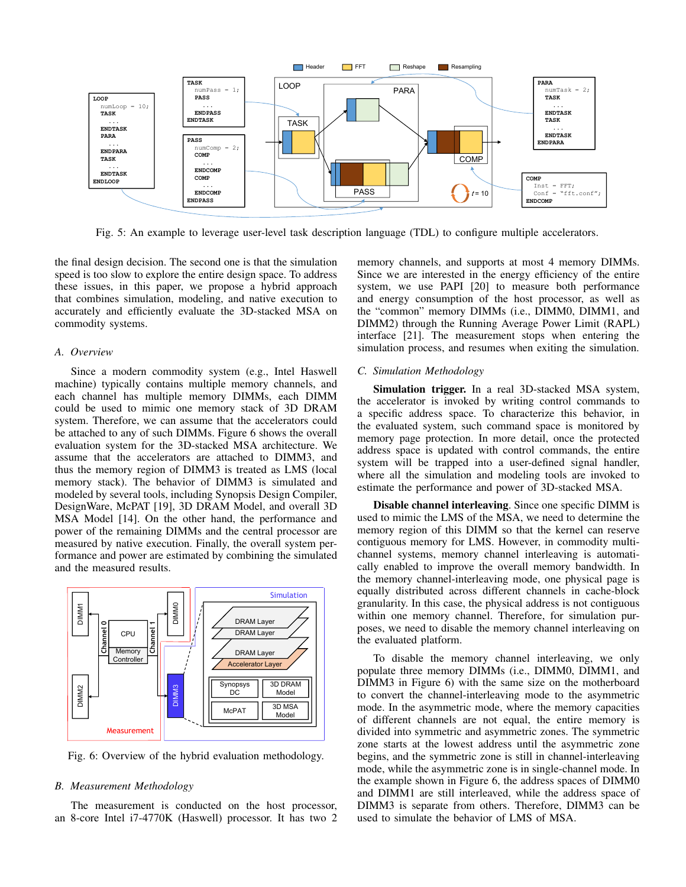

Fig. 5: An example to leverage user-level task description language (TDL) to configure multiple accelerators.

the final design decision. The second one is that the simulation speed is too slow to explore the entire design space. To address these issues, in this paper, we propose a hybrid approach that combines simulation, modeling, and native execution to accurately and efficiently evaluate the 3D-stacked MSA on commodity systems.

## *A. Overview*

Since a modern commodity system (e.g., Intel Haswell machine) typically contains multiple memory channels, and each channel has multiple memory DIMMs, each DIMM could be used to mimic one memory stack of 3D DRAM system. Therefore, we can assume that the accelerators could be attached to any of such DIMMs. Figure 6 shows the overall evaluation system for the 3D-stacked MSA architecture. We assume that the accelerators are attached to DIMM3, and thus the memory region of DIMM3 is treated as LMS (local memory stack). The behavior of DIMM3 is simulated and modeled by several tools, including Synopsis Design Compiler, DesignWare, McPAT [19], 3D DRAM Model, and overall 3D MSA Model [14]. On the other hand, the performance and power of the remaining DIMMs and the central processor are measured by native execution. Finally, the overall system performance and power are estimated by combining the simulated and the measured results.



Fig. 6: Overview of the hybrid evaluation methodology.

## *B. Measurement Methodology*

The measurement is conducted on the host processor, an 8-core Intel i7-4770K (Haswell) processor. It has two 2 memory channels, and supports at most 4 memory DIMMs. Since we are interested in the energy efficiency of the entire system, we use PAPI [20] to measure both performance and energy consumption of the host processor, as well as the "common" memory DIMMs (i.e., DIMM0, DIMM1, and DIMM2) through the Running Average Power Limit (RAPL) interface [21]. The measurement stops when entering the simulation process, and resumes when exiting the simulation.

#### *C. Simulation Methodology*

Simulation trigger. In a real 3D-stacked MSA system, the accelerator is invoked by writing control commands to a specific address space. To characterize this behavior, in the evaluated system, such command space is monitored by memory page protection. In more detail, once the protected address space is updated with control commands, the entire system will be trapped into a user-defined signal handler, where all the simulation and modeling tools are invoked to estimate the performance and power of 3D-stacked MSA.

Disable channel interleaving. Since one specific DIMM is used to mimic the LMS of the MSA, we need to determine the memory region of this DIMM so that the kernel can reserve contiguous memory for LMS. However, in commodity multichannel systems, memory channel interleaving is automatically enabled to improve the overall memory bandwidth. In the memory channel-interleaving mode, one physical page is equally distributed across different channels in cache-block granularity. In this case, the physical address is not contiguous within one memory channel. Therefore, for simulation purposes, we need to disable the memory channel interleaving on the evaluated platform.

To disable the memory channel interleaving, we only populate three memory DIMMs (i.e., DIMM0, DIMM1, and DIMM3 in Figure 6) with the same size on the motherboard to convert the channel-interleaving mode to the asymmetric mode. In the asymmetric mode, where the memory capacities of different channels are not equal, the entire memory is divided into symmetric and asymmetric zones. The symmetric zone starts at the lowest address until the asymmetric zone begins, and the symmetric zone is still in channel-interleaving mode, while the asymmetric zone is in single-channel mode. In the example shown in Figure 6, the address spaces of DIMM0 and DIMM1 are still interleaved, while the address space of DIMM3 is separate from others. Therefore, DIMM3 can be used to simulate the behavior of LMS of MSA.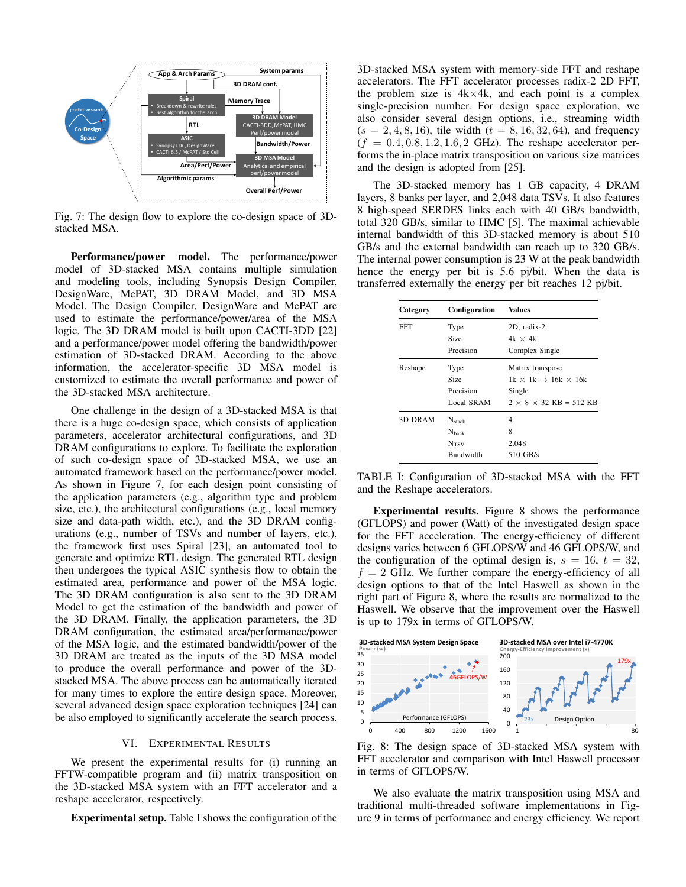

Fig. 7: The design flow to explore the co-design space of 3Dstacked MSA.

Performance/power model. The performance/power model of 3D-stacked MSA contains multiple simulation and modeling tools, including Synopsis Design Compiler, DesignWare, McPAT, 3D DRAM Model, and 3D MSA Model. The Design Compiler, DesignWare and McPAT are used to estimate the performance/power/area of the MSA logic. The 3D DRAM model is built upon CACTI-3DD [22] and a performance/power model offering the bandwidth/power estimation of 3D-stacked DRAM. According to the above information, the accelerator-specific 3D MSA model is customized to estimate the overall performance and power of the 3D-stacked MSA architecture.

One challenge in the design of a 3D-stacked MSA is that there is a huge co-design space, which consists of application parameters, accelerator architectural configurations, and 3D DRAM configurations to explore. To facilitate the exploration of such co-design space of 3D-stacked MSA, we use an automated framework based on the performance/power model. As shown in Figure 7, for each design point consisting of the application parameters (e.g., algorithm type and problem size, etc.), the architectural configurations (e.g., local memory size and data-path width, etc.), and the 3D DRAM configurations (e.g., number of TSVs and number of layers, etc.), the framework first uses Spiral [23], an automated tool to generate and optimize RTL design. The generated RTL design then undergoes the typical ASIC synthesis flow to obtain the estimated area, performance and power of the MSA logic. The 3D DRAM configuration is also sent to the 3D DRAM Model to get the estimation of the bandwidth and power of the 3D DRAM. Finally, the application parameters, the 3D DRAM configuration, the estimated area/performance/power of the MSA logic, and the estimated bandwidth/power of the 3D DRAM are treated as the inputs of the 3D MSA model to produce the overall performance and power of the 3Dstacked MSA. The above process can be automatically iterated for many times to explore the entire design space. Moreover, several advanced design space exploration techniques [24] can be also employed to significantly accelerate the search process.

## VI. EXPERIMENTAL RESULTS

We present the experimental results for (i) running an FFTW-compatible program and (ii) matrix transposition on the 3D-stacked MSA system with an FFT accelerator and a reshape accelerator, respectively.

Experimental setup. Table I shows the configuration of the

3D-stacked MSA system with memory-side FFT and reshape accelerators. The FFT accelerator processes radix-2 2D FFT, the problem size is  $4k \times 4k$ , and each point is a complex single-precision number. For design space exploration, we also consider several design options, i.e., streaming width  $(s = 2, 4, 8, 16)$ , tile width  $(t = 8, 16, 32, 64)$ , and frequency  $(f = 0.4, 0.8, 1.2, 1.6, 2 \text{ GHz})$ . The reshape accelerator performs the in-place matrix transposition on various size matrices and the design is adopted from [25].

The 3D-stacked memory has 1 GB capacity, 4 DRAM layers, 8 banks per layer, and 2,048 data TSVs. It also features 8 high-speed SERDES links each with 40 GB/s bandwidth, total 320 GB/s, similar to HMC [5]. The maximal achievable internal bandwidth of this 3D-stacked memory is about 510 GB/s and the external bandwidth can reach up to 320 GB/s. The internal power consumption is 23 W at the peak bandwidth hence the energy per bit is 5.6 pj/bit. When the data is transferred externally the energy per bit reaches 12 pj/bit.

| Category | <b>Configuration</b> | <b>Values</b>                             |
|----------|----------------------|-------------------------------------------|
| FFT      | Type                 | 2D, radix-2                               |
|          | Size                 | $4k \times 4k$                            |
|          | Precision            | Complex Single                            |
| Reshape  | Type                 | Matrix transpose                          |
|          | Size                 | $1k \times 1k \rightarrow 16k \times 16k$ |
|          | Precision            | Single                                    |
|          | Local SRAM           | $2 \times 8 \times 32$ KB = 512 KB        |
| 3D DRAM  | $N_{stack}$          | 4                                         |
|          | $N_{\text{bank}}$    | 8                                         |
|          | N <sub>TSV</sub>     | 2.048                                     |
|          | Bandwidth            | $510$ GB/s                                |

TABLE I: Configuration of 3D-stacked MSA with the FFT and the Reshape accelerators.

Experimental results. Figure 8 shows the performance (GFLOPS) and power (Watt) of the investigated design space for the FFT acceleration. The energy-efficiency of different designs varies between 6 GFLOPS/W and 46 GFLOPS/W, and the configuration of the optimal design is,  $s = 16$ ,  $t = 32$ ,  $f = 2$  GHz. We further compare the energy-efficiency of all design options to that of the Intel Haswell as shown in the right part of Figure 8, where the results are normalized to the Haswell. We observe that the improvement over the Haswell is up to 179x in terms of GFLOPS/W.



Fig. 8: The design space of 3D-stacked MSA system with FFT accelerator and comparison with Intel Haswell processor in terms of GFLOPS/W.

We also evaluate the matrix transposition using MSA and traditional multi-threaded software implementations in Figure 9 in terms of performance and energy efficiency. We report